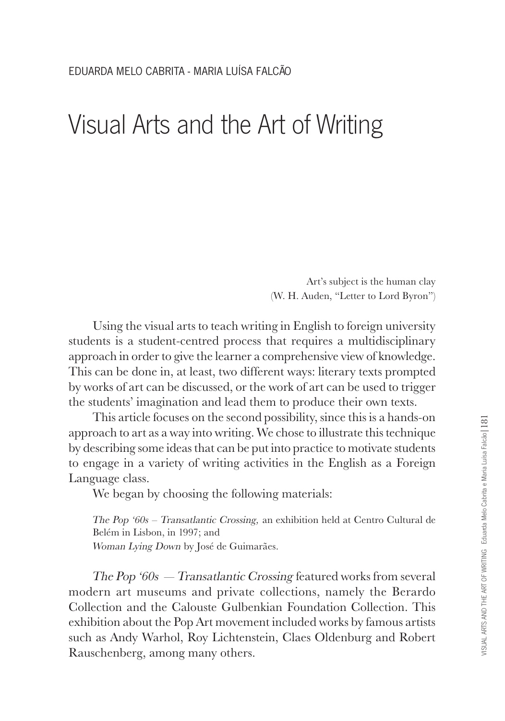## Visual Arts and the Art of Writing

Art's subject is the human clay (W. H. Auden, "Letter to Lord Byron")

Using the visual arts to teach writing in English to foreign university students is a student-centred process that requires a multidisciplinary approach in order to give the learner a comprehensive view of knowledge. This can be done in, at least, two different ways: literary texts prompted by works of art can be discussed, or the work of art can be used to trigger the students' imagination and lead them to produce their own texts.

This article focuses on the second possibility, since this is a hands-on approach to art as a way into writing. We chose to illustrate this technique by describing some ideas that can be put into practice to motivate students to engage in a variety of writing activities in the English as a Foreign Language class.

We began by choosing the following materials:

The Pop '60s – Transatlantic Crossing, an exhibition held at Centro Cultural de Belém in Lisbon, in 1997; and Woman Lying Down by José de Guimarães.

The Pop '60s — Transatlantic Crossing featured works from several modern art museums and private collections, namely the Berardo Collection and the Calouste Gulbenkian Foundation Collection. This exhibition about the Pop Art movement included works by famous artists such as Andy Warhol, Roy Lichtenstein, Claes Oldenburg and Robert Rauschenberg, among many others.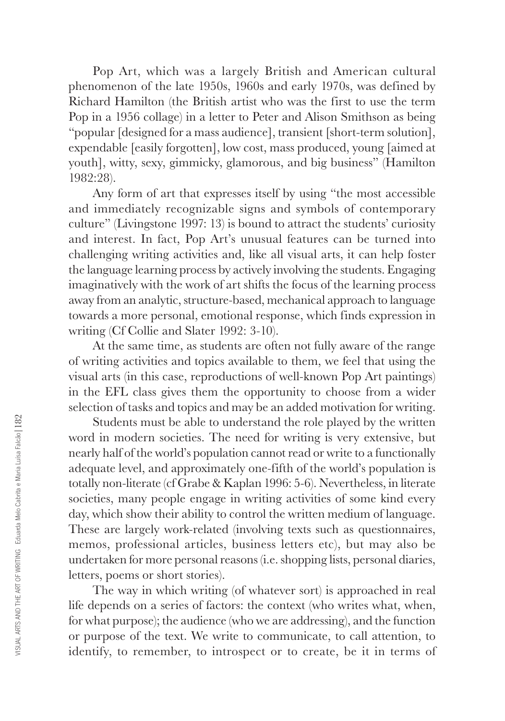Pop Art, which was a largely British and American cultural phenomenon of the late 1950s, 1960s and early 1970s, was defined by Richard Hamilton (the British artist who was the first to use the term Pop in a 1956 collage) in a letter to Peter and Alison Smithson as being "popular [designed for a mass audience], transient [short-term solution], expendable [easily forgotten], low cost, mass produced, young [aimed at youth], witty, sexy, gimmicky, glamorous, and big business" (Hamilton 1982:28).

Any form of art that expresses itself by using "the most accessible and immediately recognizable signs and symbols of contemporary culture" (Livingstone 1997: 13) is bound to attract the students' curiosity and interest. In fact, Pop Art's unusual features can be turned into challenging writing activities and, like all visual arts, it can help foster the language learning process by actively involving the students. Engaging imaginatively with the work of art shifts the focus of the learning process away from an analytic, structure-based, mechanical approach to language towards a more personal, emotional response, which finds expression in writing (Cf Collie and Slater 1992: 3-10).

At the same time, as students are often not fully aware of the range of writing activities and topics available to them, we feel that using the visual arts (in this case, reproductions of well-known Pop Art paintings) in the EFL class gives them the opportunity to choose from a wider selection of tasks and topics and may be an added motivation for writing.

Students must be able to understand the role played by the written word in modern societies. The need for writing is very extensive, but nearly half of the world's population cannot read or write to a functionally adequate level, and approximately one-fifth of the world's population is to tally non-literate (cf Grabe & Kaplan 1996: 5-6). Nevertheless, in literate societies, many people engage in writing activities of some kind every day, which show their ability to control the written medium of language. These are largely work-related (involving texts such as questionnaires, memos, professional articles, business letters etc), but may also be undertaken for more personal reasons (i.e. shopping lists, personal diaries, letters, poems or short stories).

The way in which writing (of whatever sort) is approached in real life depends on a series of factors: the context (who writes what, when, for what purpose); the audience (who we are addressing), and the function or purpose of the text. We write to communicate, to call attention, to identify, to remember, to introspect or to create, be it in terms of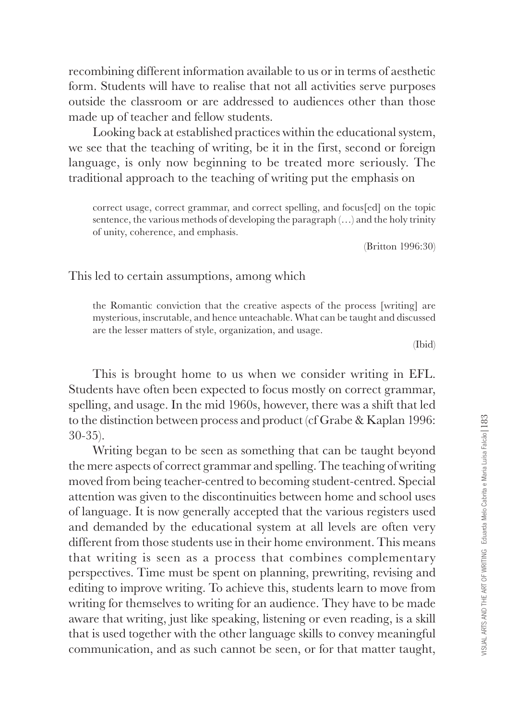recombining different information available to us or in terms of aesthetic fo rm. Students will have to realise that not all activities serve purposes outside the classroom or are addressed to audiences other than those made up of teacher and fellow students.

Looking back at established practices within the educational system, we see that the teaching of writing, be it in the first, second or foreign language, is only now beginning to be treated more seriously. The traditional approach to the teaching of writing put the emphasis on

correct usage, correct grammar, and correct spelling, and focus[ed] on the topic sentence, the various methods of developing the paragraph (…) and the holy trinity of unity, coherence, and emphasis.

(Britton 1996:30)

This led to certain assumptions, among which

the Romantic conviction that the creative aspects of the process [writing] are mysterious, inscrutable, and hence unteachable. What can be taught and discussed are the lesser matters of style, organization, and usage.

(Ibid)

This is brought home to us when we consider writing in EFL. Students have often been expected to focus mostly on correct grammar, spelling, and usage. In the mid 1960s, however, there was a shift that led to the distinction between process and product (cf Grabe & Kaplan 1996: 30-35).

Writing began to be seen as something that can be taught beyond the mere aspects of correct grammar and spelling. The teaching of writing moved from being teacher-centred to becoming student-centred. Special attention was given to the discontinuities between home and school uses of language. It is now generally accepted that the various registers used and demanded by the educational system at all levels are often very different from those students use in their home environment. This means that writing is seen as a process that combines complementary perspectives. Time must be spent on planning, prewriting, revising and editing to improve writing. To achieve this, students learn to move from writing for themselves to writing for an audience. They have to be made aware that writing, just like speaking, listening or even reading, is a skill that is used together with the other language skills to convey meaningful communication, and as such cannot be seen, or for that matter taught,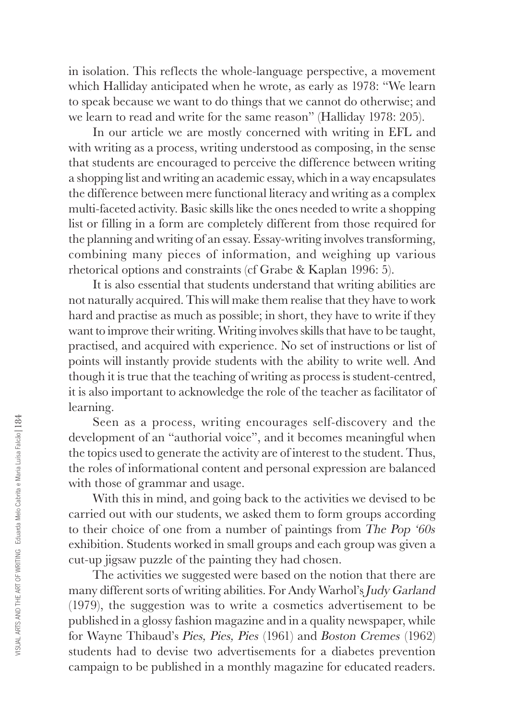in isolation. This reflects the whole-language perspective, a movement which Halliday anticipated when he wrote, as early as 1978: "We learn to speak because we want to do things that we cannot do otherwise; and we learn to read and write for the same reason" (Halliday 1978: 205).

In our article we are mostly concerned with writing in EFL and with writing as a process, writing understood as composing, in the sense that students are encouraged to perceive the difference between writing a shopping list and writing an academic essay, which in a way encapsulates the difference between mere functional literacy and writing as a complex multi-faceted activity. Basic skills like the ones needed to write a shopping list or filling in a form are completely different from those required for the planning and writing of an essay. Essay-writing involves transforming, combining many pieces of information, and weighing up various rhetorical options and constraints (cf Grabe & Kaplan 1996: 5).

It is also essential that students understand that writing abilities are not naturally acquired. This will make them realise that they have to work hard and practise as much as possible; in short, they have to write if they want to improve their writing. Writing involves skills that have to be taught, practised, and acquired with experience. No set of instructions or list of points will instantly provide students with the ability to write well. And though it is true that the teaching of writing as process is student-centred, it is also important to acknowledge the role of the teacher as facilitator of learning.

Seen as a process, writing encourages self-discovery and the development of an "authorial voice", and it becomes meaningful when the topics used to generate the activity are of interest to the student. Thus, the roles of informational content and personal expression are balanced with those of grammar and usage.

With this in mind, and going back to the activities we devised to be carried out with our students, we asked them to form groups according to their choice of one from a number of paintings from The Pop '60s exhibition. Students worked in small groups and each group was given a cut-up jigsaw puzzle of the painting they had chosen.

The activities we suggested were based on the notion that there are many different sorts of writing abilities. For Andy Warhol's Judy Garland (1979), the suggestion was to write a cosmetics advertisement to be published in a glossy fashion magazine and in a quality newspaper, while for Wayne Thibaud's Pies, Pies, Pies (1961) and Boston Cremes (1962) students had to devise two advertisements for a diabetes prevention campaign to be published in a monthly magazine for educated readers.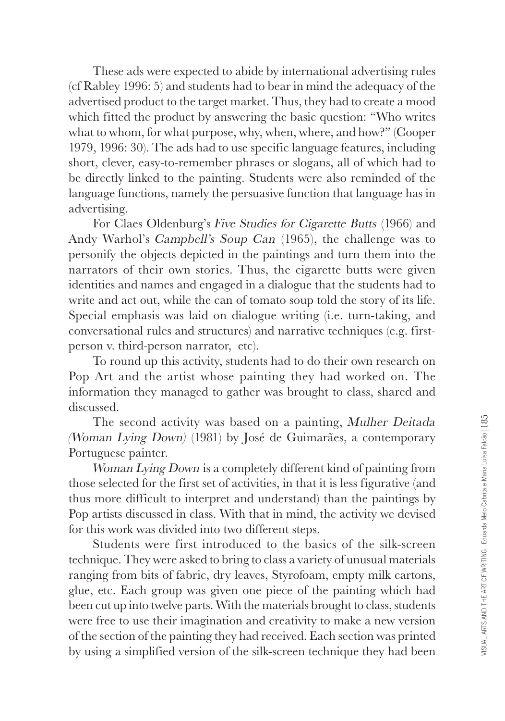These ads were expected to abide by international advertising rules (cf Rabley 1996: 5) and students had to bear in mind the adequacy of the advertised product to the target market. Thus, they had to create a mood which fitted the product by answering the basic question: "Who writes what to whom, for what purpose, why, when, where, and how?" (Cooper 1979, 1996: 30). The ads had to use specific language features, including short, clever, easy-to-remember phrases or slogans, all of which had to be directly linked to the painting. Students were also reminded of the language functions, namely the persuasive function that language has in advertising.

For Claes Oldenburg's Five Studies for Cigarette Butts (1966) and Andy Warhol's Campbell's Soup Can (1965), the challenge was to personify the objects depicted in the paintings and turn them into the narrators of their own stories. Thus, the cigarette butts were given identities and names and engaged in a dialogue that the students had to write and act out, while the can of tomato soup told the story of its life. Special emphasis was laid on dialogue writing (i.e. turn-taking, and conversational rules and structures) and narrative techniques (e.g. firstperson v. third-person narrator, etc).

To round up this activity, students had to do their own research on Pop Art and the artist whose painting they had worked on. The information they managed to gather was brought to class, shared and discussed.

The second activity was based on a painting, Mulher Deitada (Woman Lying Down) (1981) by José de Guimarães, a contemporary Po rtuguese painter.

Woman Lying Down is a completely different kind of painting from those selected for the first set of activities, in that it is less figurative (and thus more difficult to interpret and understand) than the paintings by Pop artists discussed in class. With that in mind, the activity we devised for this work was divided into two different steps.

Students were first introduced to the basics of the silk-screen te chnique. They were asked to bring to class a variety of unusual materials ranging from bits of fabric, dry leaves, Styrofoam, empty milk cartons, glue, etc. Each group was given one piece of the painting which had been cut up into twelve parts. With the materials brought to class, students were free to use their imagination and creativity to make a new version of the section of the painting they had received. Each section was printed by using a simplified version of the silk-screen technique they had been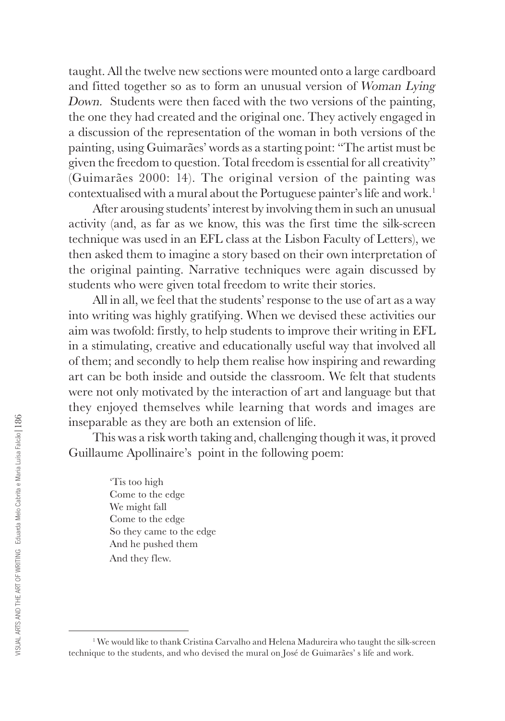taught. All the twelve new sections were mounted onto a large cardboard and fitted together so as to form an unusual version of Woman Lying Down. Students were then faced with the two versions of the painting, the one they had created and the original one. They actively engaged in a discussion of the representation of the woman in both versions of the painting, using Guimarães' words as a starting point: "The artist must be given the freedom to question. Total freedom is essential for all creativity" (Guimarães 2000: 14). The original version of the painting was contextualised with a mural about the Portuguese painter's life and work. 1

After arousing students' interest by involving them in such an unusual activity (and, as far as we know, this was the first time the silk-screen te chnique was used in an EFL class at the Lisbon Faculty of Letters), we then asked them to imagine a story based on their own interpretation of the original painting. Narrative techniques were again discussed by students who were given total freedom to write their stories.

All in all, we feel that the students' response to the use of art as a way into writing was highly gratifying. When we devised these activities our aim was twofold: firstly, to help students to improve their writing in EFL in a stimulating, creative and educationally useful way that involved all of them; and secondly to help them realise how inspiring and rewarding art can be both inside and outside the classroom. We felt that students were not only motivated by the interaction of art and language but that they enjoyed themselves while learning that words and images are inseparable as they are both an extension of life.

This was a risk worth taking and, challenging though it was, it proved Guillaume Apollinaire's point in the following poem:

> 'Tis too high Come to the edge We might fall Come to the edge So they came to the edge And he pushed them And they flew.

<sup>&</sup>lt;sup>1</sup> We would like to thank Cristina Carvalho and Helena Madureira who taught the silk-screen te chnique to the students, and who devised the mural on José de Guimarães' s life and work.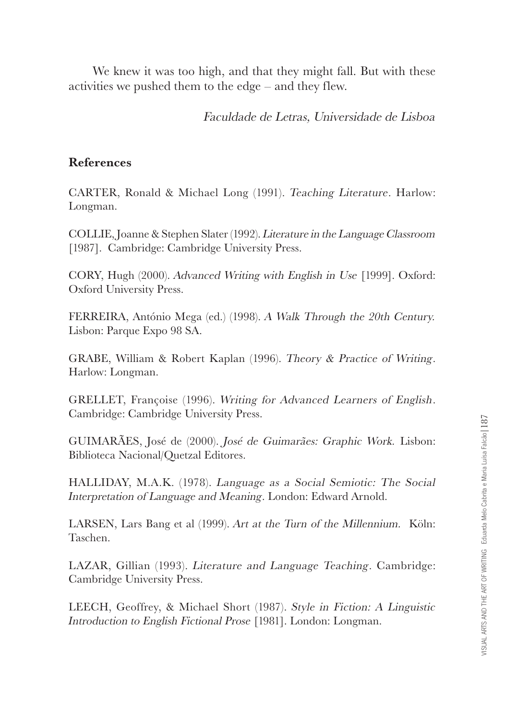We knew it was too high, and that they might fall. But with these activities we pushed them to the edge – and they flew.

Faculdade de Letras, Universidade de Lisboa

## **References**

CA RTER, Ronald & Michael Long (1991). Teaching Literature. Harlow: Longman.

COLLIE, Joanne & Stephen Slater (1992). Literature in the Language Classroom [1987]. Cambridge: Cambridge University Press.

CORY, Hugh (2000). Ad vanced Writing with English in Use [1999]. Oxford: Oxford University Press.

FERREIRA, António Mega (ed.) (1998). A Walk Through the 20th Century. Lisbon: Parque Expo 98 SA.

GRABE, William & Robert Kaplan (1996). Theory & Practice of Writing . Harlow: Longman.

GRELLET, Françoise (1996). Writing for Advanced Learners of English . Cambridge: Cambridge University Press.

GUIMARÃES, José de (2000). José de Guimarães: Graphic Work. Lisbon: Biblioteca Nacional/Quetzal Editores.

HALLIDAY, M.A.K. (1978). Language as a Social Semiotic: The Social Interpretation of Language and Meaning. London: Edward Arnold.

LARSEN, Lars Bang et al (1999). Art at the Turn of the Millennium. Köln: Taschen.

LAZAR, Gillian (1993). Literature and Language Teaching. Cambridge: Cambridge University Press.

LEECH, Geoffrey, & Michael Short (1987). Style in Fiction: A Linguistic Introduction to English Fictional Prose [1981]. London: Longman.